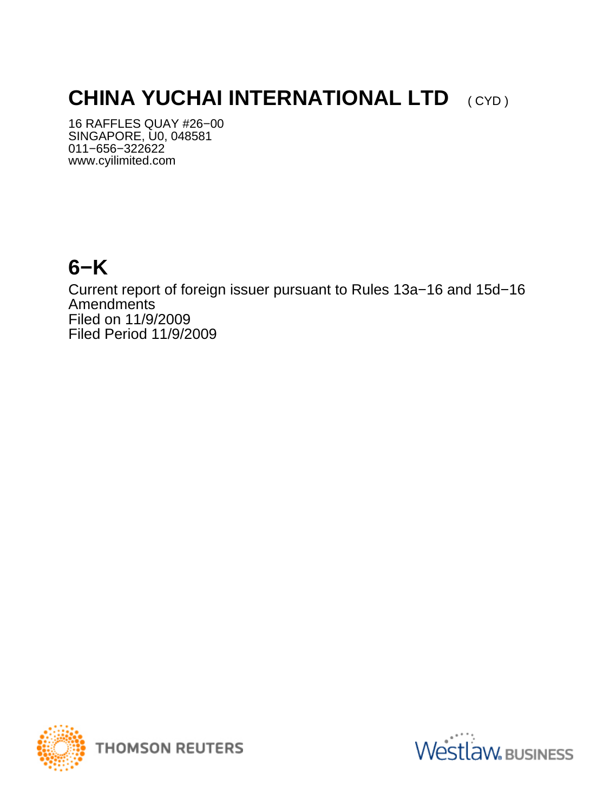# **CHINA YUCHAI INTERNATIONAL LTD** (CYD)

16 RAFFLES QUAY #26−00 SINGAPORE, U0, 048581 011−656−322622 www.cyilimited.com

## **6−K**

Current report of foreign issuer pursuant to Rules 13a−16 and 15d−16 Amendments Filed on 11/9/2009 Filed Period 11/9/2009



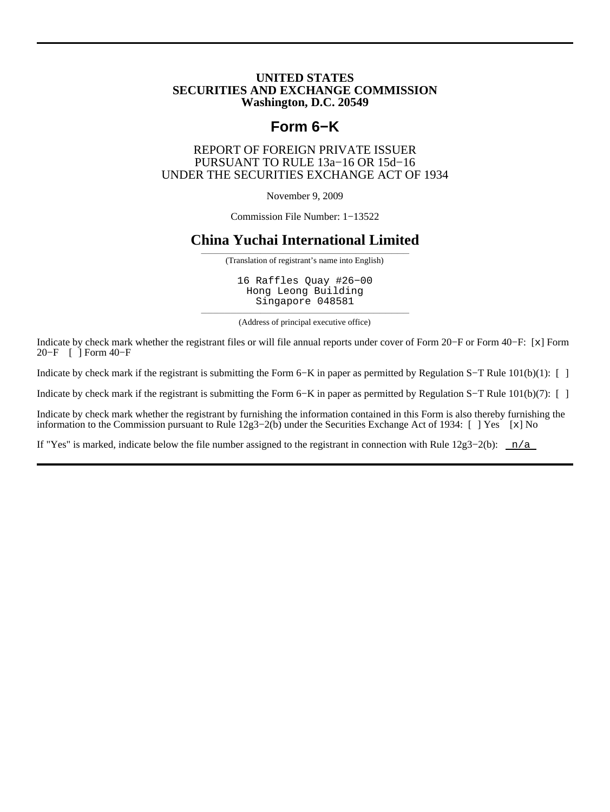#### **UNITED STATES SECURITIES AND EXCHANGE COMMISSION Washington, D.C. 20549**

## **Form 6−K**

#### REPORT OF FOREIGN PRIVATE ISSUER PURSUANT TO RULE 13a−16 OR 15d−16 UNDER THE SECURITIES EXCHANGE ACT OF 1934

November 9, 2009

Commission File Number: 1−13522

#### **China Yuchai International Limited**

——————————————————————————————————— (Translation of registrant's name into English)

16 Raffles Quay #26−00 Hong Leong Building Singapore 048581

——————————————————————————————————— (Address of principal executive office)

Indicate by check mark whether the registrant files or will file annual reports under cover of Form 20−F or Form 40−F: [x] Form 20−F [ ] Form 40−F

Indicate by check mark if the registrant is submitting the Form 6−K in paper as permitted by Regulation S−T Rule 101(b)(1): [ ]

Indicate by check mark if the registrant is submitting the Form 6−K in paper as permitted by Regulation S−T Rule 101(b)(7): [ ]

Indicate by check mark whether the registrant by furnishing the information contained in this Form is also thereby furnishing the information to the Commission pursuant to Rule 12g3−2(b) under the Securities Exchange Act of 1934: [ ] Yes [x] No

If "Yes" is marked, indicate below the file number assigned to the registrant in connection with Rule  $12g3-2(b)$ : n/a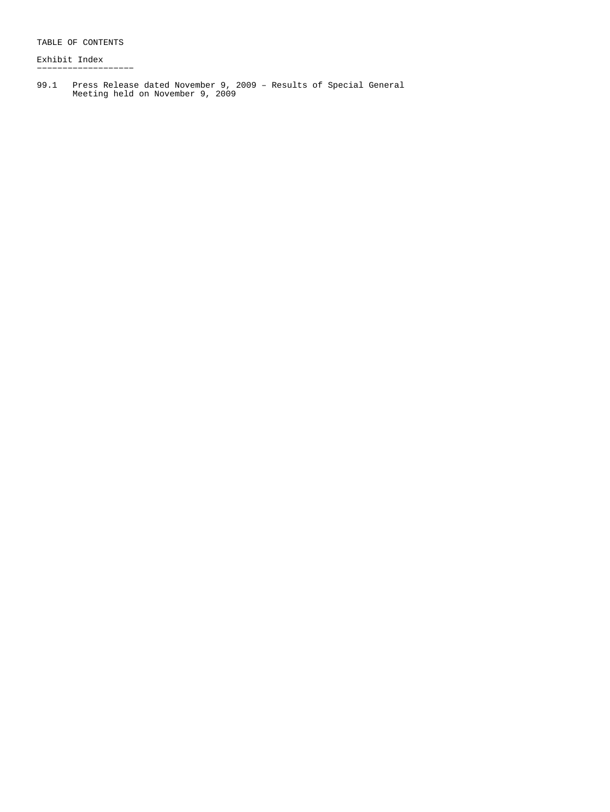Exhibit Index −−−−−−−−−−−−−−−−−−−

99.1 Press Release dated November 9, 2009 – Results of Special General Meeting held on November 9, 2009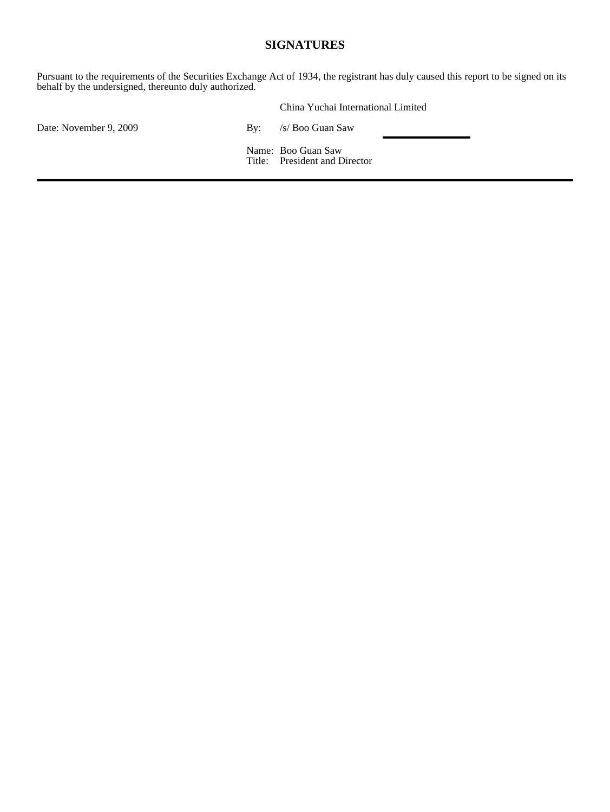#### **SIGNATURES**

Pursuant to the requirements of the Securities Exchange Act of 1934, the registrant has duly caused this report to be signed on its behalf by the undersigned, thereunto duly authorized.

|                        |     | China Yuchai International Limited                  |  |
|------------------------|-----|-----------------------------------------------------|--|
| Date: November 9, 2009 | Bv: | /s/ Boo Guan Saw                                    |  |
|                        |     | Name: Boo Guan Saw<br>Title: President and Director |  |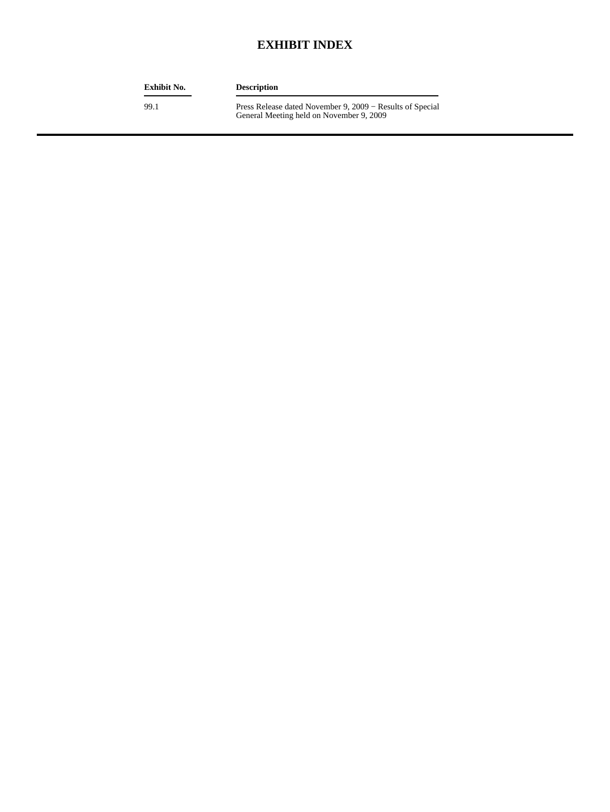### **EXHIBIT INDEX**

| Exhibit No. | <b>Description</b>                                                                                    |
|-------------|-------------------------------------------------------------------------------------------------------|
| 99.1        | Press Release dated November 9, 2009 – Results of Special<br>General Meeting held on November 9, 2009 |